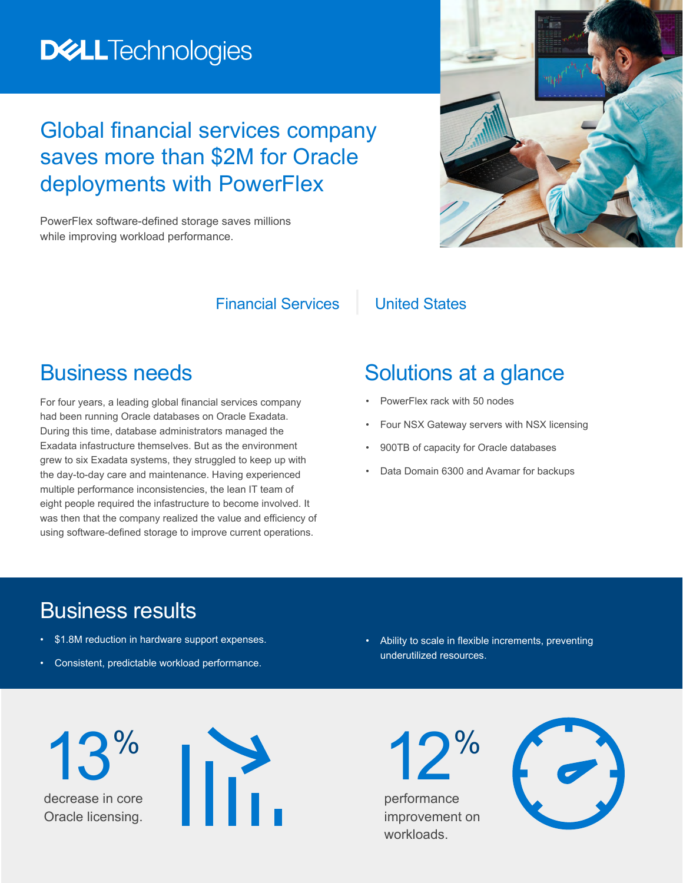# **DELLTechnologies**

## Global financial services company saves more than \$2M for Oracle deployments with PowerFlex

PowerFlex software-defined storage saves millions while improving workload performance.

#### Financial Services | United States

#### Business needs

For four years, a leading global financial services company had been running Oracle databases on Oracle Exadata. During this time, database administrators managed the Exadata infastructure themselves. But as the environment grew to six Exadata systems, they struggled to keep up with the day-to-day care and maintenance. Having experienced multiple performance inconsistencies, the lean IT team of eight people required the infastructure to become involved. It was then that the company realized the value and efficiency of using software-defined storage to improve current operations.

### Solutions at a glance

- PowerFlex rack with 50 nodes
- Four NSX Gateway servers with NSX licensing
- 900TB of capacity for Oracle databases
- Data Domain 6300 and Avamar for backups

### Business results

- \$1.8M reduction in hardware support expenses.
- Consistent, predictable workload performance.

• Ability to scale in flexible increments, preventing underutilized resources.

decrease in core Oracle licensing. 13%



performance improvement on workloads.

12%